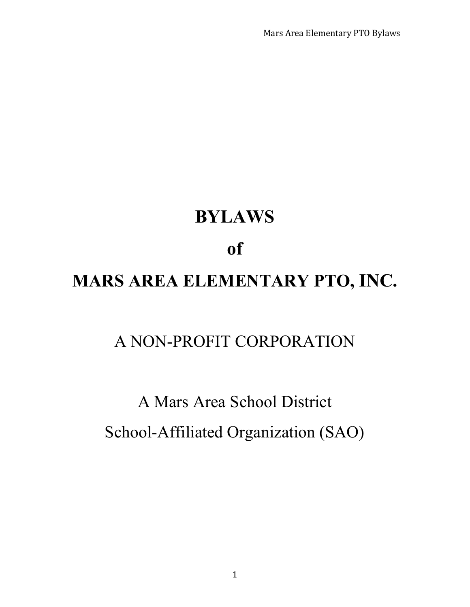Mars Area Elementary PTO Bylaws

# **BYLAWS**

### **of**

## **MARS AREA ELEMENTARY PTO, INC.**

### A NON-PROFIT CORPORATION

## A Mars Area School District School-Affiliated Organization (SAO)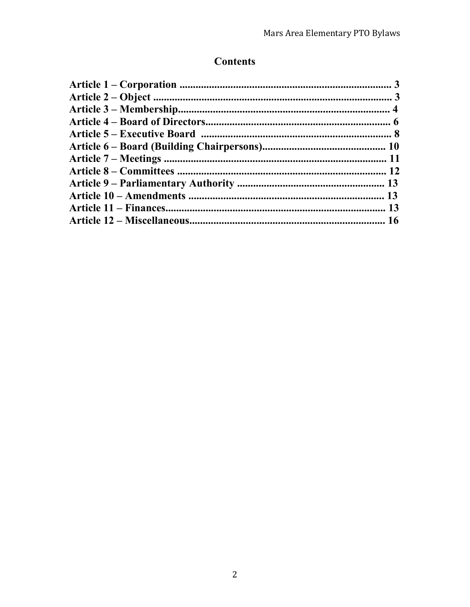### **Contents**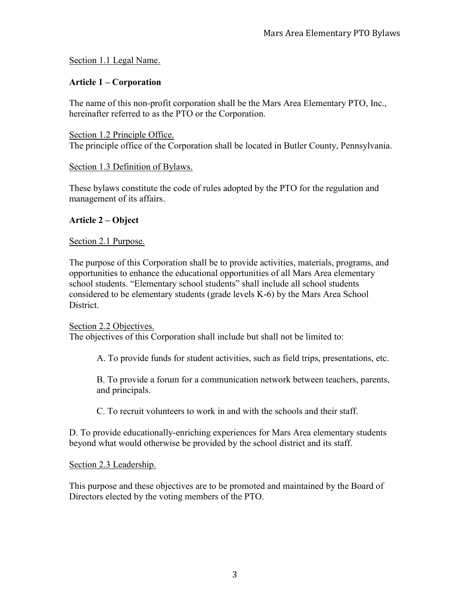#### Section 1.1 Legal Name.

#### **Article 1 – Corporation**

The name of this non-profit corporation shall be the Mars Area Elementary PTO, Inc., hereinafter referred to as the PTO or the Corporation.

Section 1.2 Principle Office. The principle office of the Corporation shall be located in Butler County, Pennsylvania.

#### Section 1.3 Definition of Bylaws.

These bylaws constitute the code of rules adopted by the PTO for the regulation and management of its affairs.

#### **Article 2 – Object**

#### Section 2.1 Purpose.

The purpose of this Corporation shall be to provide activities, materials, programs, and opportunities to enhance the educational opportunities of all Mars Area elementary school students. "Elementary school students" shall include all school students considered to be elementary students (grade levels K-6) by the Mars Area School **District** 

Section 2.2 Objectives. The objectives of this Corporation shall include but shall not be limited to:

A. To provide funds for student activities, such as field trips, presentations, etc.

B. To provide a forum for a communication network between teachers, parents, and principals.

C. To recruit volunteers to work in and with the schools and their staff.

D. To provide educationally-enriching experiences for Mars Area elementary students beyond what would otherwise be provided by the school district and its staff.

Section 2.3 Leadership.

This purpose and these objectives are to be promoted and maintained by the Board of Directors elected by the voting members of the PTO.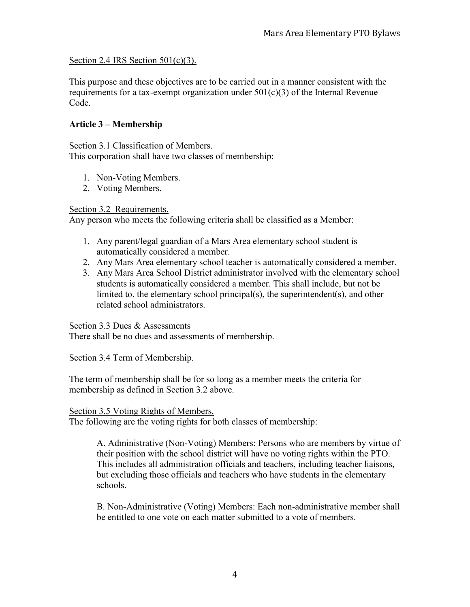#### Section 2.4 IRS Section 501(c)(3).

This purpose and these objectives are to be carried out in a manner consistent with the requirements for a tax-exempt organization under  $501(c)(3)$  of the Internal Revenue Code.

#### **Article 3 – Membership**

Section 3.1 Classification of Members. This corporation shall have two classes of membership:

- 1. Non-Voting Members.
- 2. Voting Members.

#### Section 3.2 Requirements.

Any person who meets the following criteria shall be classified as a Member:

- 1. Any parent/legal guardian of a Mars Area elementary school student is automatically considered a member.
- 2. Any Mars Area elementary school teacher is automatically considered a member.
- 3. Any Mars Area School District administrator involved with the elementary school students is automatically considered a member. This shall include, but not be limited to, the elementary school principal(s), the superintendent(s), and other related school administrators.

#### Section 3.3 Dues & Assessments

There shall be no dues and assessments of membership.

#### Section 3.4 Term of Membership.

The term of membership shall be for so long as a member meets the criteria for membership as defined in Section 3.2 above.

#### Section 3.5 Voting Rights of Members.

The following are the voting rights for both classes of membership:

A. Administrative (Non-Voting) Members: Persons who are members by virtue of their position with the school district will have no voting rights within the PTO. This includes all administration officials and teachers, including teacher liaisons, but excluding those officials and teachers who have students in the elementary schools.

B. Non-Administrative (Voting) Members: Each non-administrative member shall be entitled to one vote on each matter submitted to a vote of members.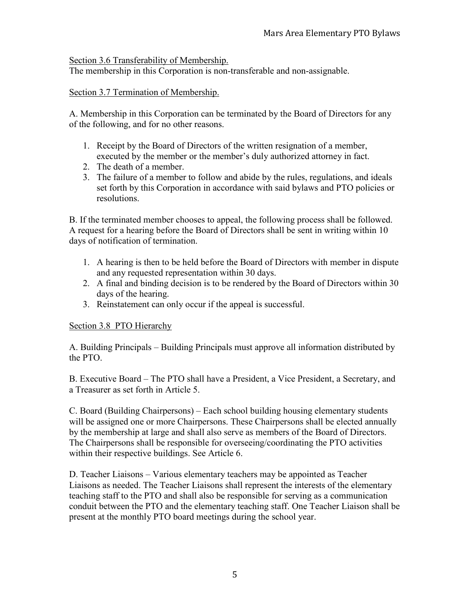Section 3.6 Transferability of Membership.

The membership in this Corporation is non-transferable and non-assignable.

#### Section 3.7 Termination of Membership.

A. Membership in this Corporation can be terminated by the Board of Directors for any of the following, and for no other reasons.

- 1. Receipt by the Board of Directors of the written resignation of a member, executed by the member or the member's duly authorized attorney in fact.
- 2. The death of a member.
- 3. The failure of a member to follow and abide by the rules, regulations, and ideals set forth by this Corporation in accordance with said bylaws and PTO policies or resolutions.

B. If the terminated member chooses to appeal, the following process shall be followed. A request for a hearing before the Board of Directors shall be sent in writing within 10 days of notification of termination.

- 1. A hearing is then to be held before the Board of Directors with member in dispute and any requested representation within 30 days.
- 2. A final and binding decision is to be rendered by the Board of Directors within 30 days of the hearing.
- 3. Reinstatement can only occur if the appeal is successful.

#### Section 3.8 PTO Hierarchy

A. Building Principals – Building Principals must approve all information distributed by the PTO.

B. Executive Board – The PTO shall have a President, a Vice President, a Secretary, and a Treasurer as set forth in Article 5.

C. Board (Building Chairpersons) – Each school building housing elementary students will be assigned one or more Chairpersons. These Chairpersons shall be elected annually by the membership at large and shall also serve as members of the Board of Directors. The Chairpersons shall be responsible for overseeing/coordinating the PTO activities within their respective buildings. See Article 6.

D. Teacher Liaisons – Various elementary teachers may be appointed as Teacher Liaisons as needed. The Teacher Liaisons shall represent the interests of the elementary teaching staff to the PTO and shall also be responsible for serving as a communication conduit between the PTO and the elementary teaching staff. One Teacher Liaison shall be present at the monthly PTO board meetings during the school year.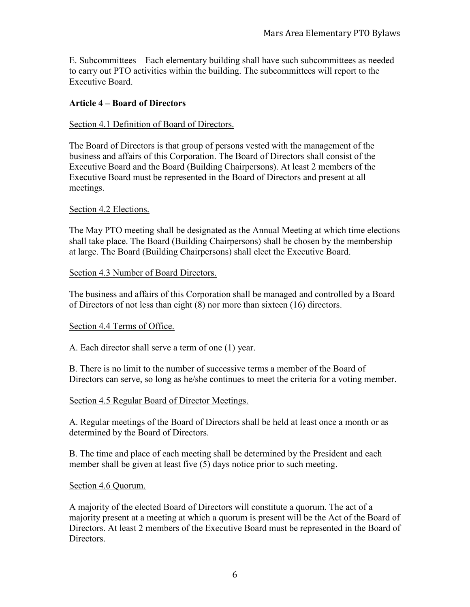E. Subcommittees – Each elementary building shall have such subcommittees as needed to carry out PTO activities within the building. The subcommittees will report to the Executive Board.

#### **Article 4 – Board of Directors**

#### Section 4.1 Definition of Board of Directors.

The Board of Directors is that group of persons vested with the management of the business and affairs of this Corporation. The Board of Directors shall consist of the Executive Board and the Board (Building Chairpersons). At least 2 members of the Executive Board must be represented in the Board of Directors and present at all meetings.

#### Section 4.2 Elections.

The May PTO meeting shall be designated as the Annual Meeting at which time elections shall take place. The Board (Building Chairpersons) shall be chosen by the membership at large. The Board (Building Chairpersons) shall elect the Executive Board.

#### Section 4.3 Number of Board Directors.

The business and affairs of this Corporation shall be managed and controlled by a Board of Directors of not less than eight (8) nor more than sixteen (16) directors.

#### Section 4.4 Terms of Office.

A. Each director shall serve a term of one (1) year.

B. There is no limit to the number of successive terms a member of the Board of Directors can serve, so long as he/she continues to meet the criteria for a voting member.

#### Section 4.5 Regular Board of Director Meetings.

A. Regular meetings of the Board of Directors shall be held at least once a month or as determined by the Board of Directors.

B. The time and place of each meeting shall be determined by the President and each member shall be given at least five (5) days notice prior to such meeting.

#### Section 4.6 Quorum.

A majority of the elected Board of Directors will constitute a quorum. The act of a majority present at a meeting at which a quorum is present will be the Act of the Board of Directors. At least 2 members of the Executive Board must be represented in the Board of Directors.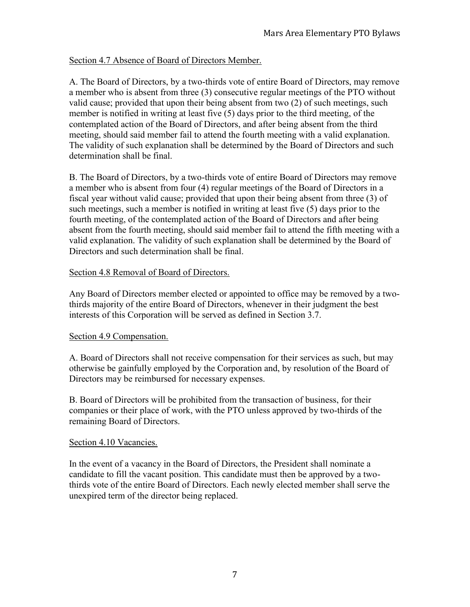#### Section 4.7 Absence of Board of Directors Member.

A. The Board of Directors, by a two-thirds vote of entire Board of Directors, may remove a member who is absent from three (3) consecutive regular meetings of the PTO without valid cause; provided that upon their being absent from two (2) of such meetings, such member is notified in writing at least five (5) days prior to the third meeting, of the contemplated action of the Board of Directors, and after being absent from the third meeting, should said member fail to attend the fourth meeting with a valid explanation. The validity of such explanation shall be determined by the Board of Directors and such determination shall be final.

B. The Board of Directors, by a two-thirds vote of entire Board of Directors may remove a member who is absent from four (4) regular meetings of the Board of Directors in a fiscal year without valid cause; provided that upon their being absent from three (3) of such meetings, such a member is notified in writing at least five (5) days prior to the fourth meeting, of the contemplated action of the Board of Directors and after being absent from the fourth meeting, should said member fail to attend the fifth meeting with a valid explanation. The validity of such explanation shall be determined by the Board of Directors and such determination shall be final.

#### Section 4.8 Removal of Board of Directors.

Any Board of Directors member elected or appointed to office may be removed by a twothirds majority of the entire Board of Directors, whenever in their judgment the best interests of this Corporation will be served as defined in Section 3.7.

#### Section 4.9 Compensation.

A. Board of Directors shall not receive compensation for their services as such, but may otherwise be gainfully employed by the Corporation and, by resolution of the Board of Directors may be reimbursed for necessary expenses.

B. Board of Directors will be prohibited from the transaction of business, for their companies or their place of work, with the PTO unless approved by two-thirds of the remaining Board of Directors.

#### Section 4.10 Vacancies.

In the event of a vacancy in the Board of Directors, the President shall nominate a candidate to fill the vacant position. This candidate must then be approved by a twothirds vote of the entire Board of Directors. Each newly elected member shall serve the unexpired term of the director being replaced.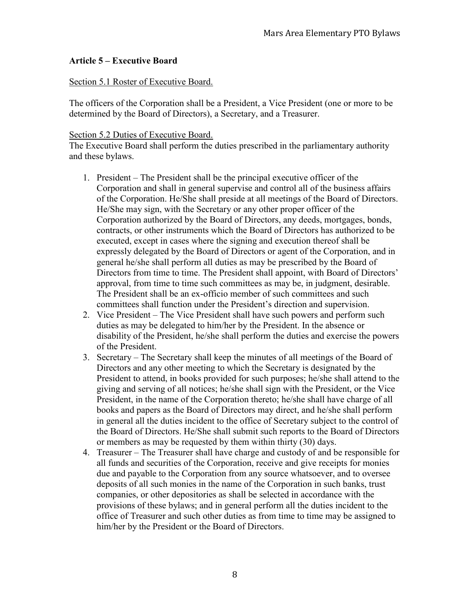#### **Article 5 – Executive Board**

#### Section 5.1 Roster of Executive Board.

The officers of the Corporation shall be a President, a Vice President (one or more to be determined by the Board of Directors), a Secretary, and a Treasurer.

#### Section 5.2 Duties of Executive Board.

The Executive Board shall perform the duties prescribed in the parliamentary authority and these bylaws.

- 1. President The President shall be the principal executive officer of the Corporation and shall in general supervise and control all of the business affairs of the Corporation. He/She shall preside at all meetings of the Board of Directors. He/She may sign, with the Secretary or any other proper officer of the Corporation authorized by the Board of Directors, any deeds, mortgages, bonds, contracts, or other instruments which the Board of Directors has authorized to be executed, except in cases where the signing and execution thereof shall be expressly delegated by the Board of Directors or agent of the Corporation, and in general he/she shall perform all duties as may be prescribed by the Board of Directors from time to time. The President shall appoint, with Board of Directors' approval, from time to time such committees as may be, in judgment, desirable. The President shall be an ex-officio member of such committees and such committees shall function under the President's direction and supervision.
- 2. Vice President The Vice President shall have such powers and perform such duties as may be delegated to him/her by the President. In the absence or disability of the President, he/she shall perform the duties and exercise the powers of the President.
- 3. Secretary The Secretary shall keep the minutes of all meetings of the Board of Directors and any other meeting to which the Secretary is designated by the President to attend, in books provided for such purposes; he/she shall attend to the giving and serving of all notices; he/she shall sign with the President, or the Vice President, in the name of the Corporation thereto; he/she shall have charge of all books and papers as the Board of Directors may direct, and he/she shall perform in general all the duties incident to the office of Secretary subject to the control of the Board of Directors. He/She shall submit such reports to the Board of Directors or members as may be requested by them within thirty (30) days.
- 4. Treasurer The Treasurer shall have charge and custody of and be responsible for all funds and securities of the Corporation, receive and give receipts for monies due and payable to the Corporation from any source whatsoever, and to oversee deposits of all such monies in the name of the Corporation in such banks, trust companies, or other depositories as shall be selected in accordance with the provisions of these bylaws; and in general perform all the duties incident to the office of Treasurer and such other duties as from time to time may be assigned to him/her by the President or the Board of Directors.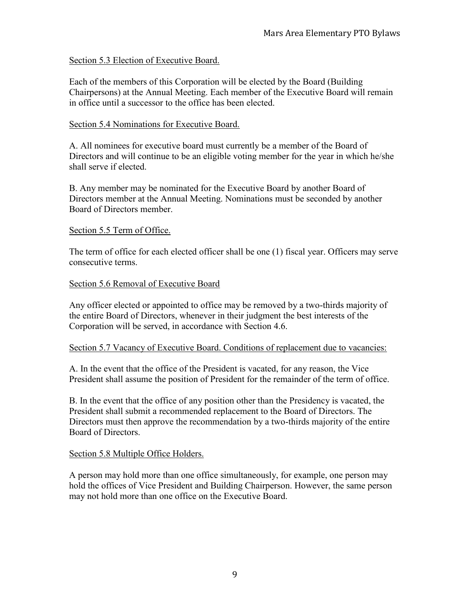#### Section 5.3 Election of Executive Board.

Each of the members of this Corporation will be elected by the Board (Building Chairpersons) at the Annual Meeting. Each member of the Executive Board will remain in office until a successor to the office has been elected.

#### Section 5.4 Nominations for Executive Board.

A. All nominees for executive board must currently be a member of the Board of Directors and will continue to be an eligible voting member for the year in which he/she shall serve if elected.

B. Any member may be nominated for the Executive Board by another Board of Directors member at the Annual Meeting. Nominations must be seconded by another Board of Directors member.

#### Section 5.5 Term of Office.

The term of office for each elected officer shall be one (1) fiscal year. Officers may serve consecutive terms.

#### Section 5.6 Removal of Executive Board

Any officer elected or appointed to office may be removed by a two-thirds majority of the entire Board of Directors, whenever in their judgment the best interests of the Corporation will be served, in accordance with Section 4.6.

#### Section 5.7 Vacancy of Executive Board. Conditions of replacement due to vacancies:

A. In the event that the office of the President is vacated, for any reason, the Vice President shall assume the position of President for the remainder of the term of office.

B. In the event that the office of any position other than the Presidency is vacated, the President shall submit a recommended replacement to the Board of Directors. The Directors must then approve the recommendation by a two-thirds majority of the entire Board of Directors.

#### Section 5.8 Multiple Office Holders.

A person may hold more than one office simultaneously, for example, one person may hold the offices of Vice President and Building Chairperson. However, the same person may not hold more than one office on the Executive Board.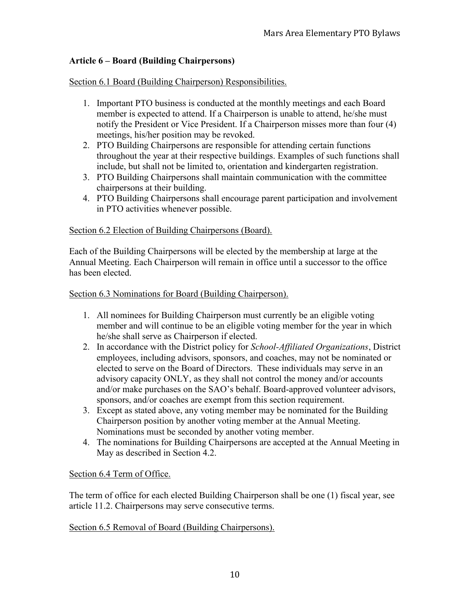#### **Article 6 – Board (Building Chairpersons)**

Section 6.1 Board (Building Chairperson) Responsibilities.

- 1. Important PTO business is conducted at the monthly meetings and each Board member is expected to attend. If a Chairperson is unable to attend, he/she must notify the President or Vice President. If a Chairperson misses more than four (4) meetings, his/her position may be revoked.
- 2. PTO Building Chairpersons are responsible for attending certain functions throughout the year at their respective buildings. Examples of such functions shall include, but shall not be limited to, orientation and kindergarten registration.
- 3. PTO Building Chairpersons shall maintain communication with the committee chairpersons at their building.
- 4. PTO Building Chairpersons shall encourage parent participation and involvement in PTO activities whenever possible.

#### Section 6.2 Election of Building Chairpersons (Board).

Each of the Building Chairpersons will be elected by the membership at large at the Annual Meeting. Each Chairperson will remain in office until a successor to the office has been elected.

#### Section 6.3 Nominations for Board (Building Chairperson).

- 1. All nominees for Building Chairperson must currently be an eligible voting member and will continue to be an eligible voting member for the year in which he/she shall serve as Chairperson if elected.
- 2. In accordance with the District policy for *School-Affiliated Organizations*, District employees, including advisors, sponsors, and coaches, may not be nominated or elected to serve on the Board of Directors. These individuals may serve in an advisory capacity ONLY, as they shall not control the money and/or accounts and/or make purchases on the SAO's behalf. Board-approved volunteer advisors, sponsors, and/or coaches are exempt from this section requirement.
- 3. Except as stated above, any voting member may be nominated for the Building Chairperson position by another voting member at the Annual Meeting. Nominations must be seconded by another voting member.
- 4. The nominations for Building Chairpersons are accepted at the Annual Meeting in May as described in Section 4.2.

#### Section 6.4 Term of Office.

The term of office for each elected Building Chairperson shall be one (1) fiscal year, see article 11.2. Chairpersons may serve consecutive terms.

#### Section 6.5 Removal of Board (Building Chairpersons).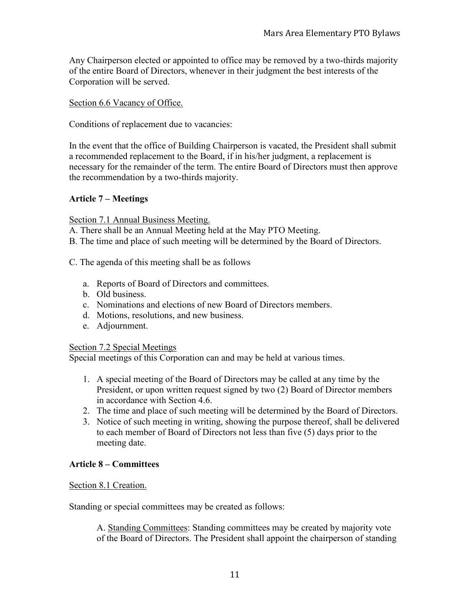Any Chairperson elected or appointed to office may be removed by a two-thirds majority of the entire Board of Directors, whenever in their judgment the best interests of the Corporation will be served.

#### Section 6.6 Vacancy of Office.

Conditions of replacement due to vacancies:

In the event that the office of Building Chairperson is vacated, the President shall submit a recommended replacement to the Board, if in his/her judgment, a replacement is necessary for the remainder of the term. The entire Board of Directors must then approve the recommendation by a two-thirds majority.

#### **Article 7 – Meetings**

Section 7.1 Annual Business Meeting.

A. There shall be an Annual Meeting held at the May PTO Meeting.

B. The time and place of such meeting will be determined by the Board of Directors.

- C. The agenda of this meeting shall be as follows
	- a. Reports of Board of Directors and committees.
	- b. Old business.
	- c. Nominations and elections of new Board of Directors members.
	- d. Motions, resolutions, and new business.
	- e. Adjournment.

#### Section 7.2 Special Meetings

Special meetings of this Corporation can and may be held at various times.

- 1. A special meeting of the Board of Directors may be called at any time by the President, or upon written request signed by two (2) Board of Director members in accordance with Section 4.6.
- 2. The time and place of such meeting will be determined by the Board of Directors.
- 3. Notice of such meeting in writing, showing the purpose thereof, shall be delivered to each member of Board of Directors not less than five (5) days prior to the meeting date.

#### **Article 8 – Committees**

Section 8.1 Creation.

Standing or special committees may be created as follows:

A. Standing Committees: Standing committees may be created by majority vote of the Board of Directors. The President shall appoint the chairperson of standing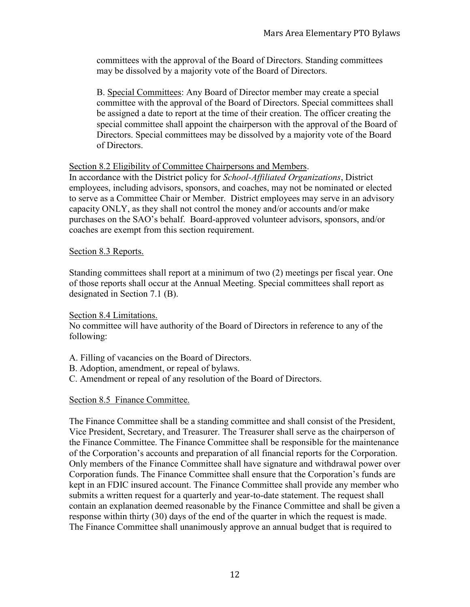committees with the approval of the Board of Directors. Standing committees may be dissolved by a majority vote of the Board of Directors.

B. Special Committees: Any Board of Director member may create a special committee with the approval of the Board of Directors. Special committees shall be assigned a date to report at the time of their creation. The officer creating the special committee shall appoint the chairperson with the approval of the Board of Directors. Special committees may be dissolved by a majority vote of the Board of Directors.

#### Section 8.2 Eligibility of Committee Chairpersons and Members.

In accordance with the District policy for *School-Affiliated Organizations*, District employees, including advisors, sponsors, and coaches, may not be nominated or elected to serve as a Committee Chair or Member. District employees may serve in an advisory capacity ONLY, as they shall not control the money and/or accounts and/or make purchases on the SAO's behalf. Board-approved volunteer advisors, sponsors, and/or coaches are exempt from this section requirement.

#### Section 8.3 Reports.

Standing committees shall report at a minimum of two (2) meetings per fiscal year. One of those reports shall occur at the Annual Meeting. Special committees shall report as designated in Section 7.1 (B).

Section 8.4 Limitations.

No committee will have authority of the Board of Directors in reference to any of the following:

A. Filling of vacancies on the Board of Directors.

- B. Adoption, amendment, or repeal of bylaws.
- C. Amendment or repeal of any resolution of the Board of Directors.

#### Section 8.5 Finance Committee.

The Finance Committee shall be a standing committee and shall consist of the President, Vice President, Secretary, and Treasurer. The Treasurer shall serve as the chairperson of the Finance Committee. The Finance Committee shall be responsible for the maintenance of the Corporation's accounts and preparation of all financial reports for the Corporation. Only members of the Finance Committee shall have signature and withdrawal power over Corporation funds. The Finance Committee shall ensure that the Corporation's funds are kept in an FDIC insured account. The Finance Committee shall provide any member who submits a written request for a quarterly and year-to-date statement. The request shall contain an explanation deemed reasonable by the Finance Committee and shall be given a response within thirty (30) days of the end of the quarter in which the request is made. The Finance Committee shall unanimously approve an annual budget that is required to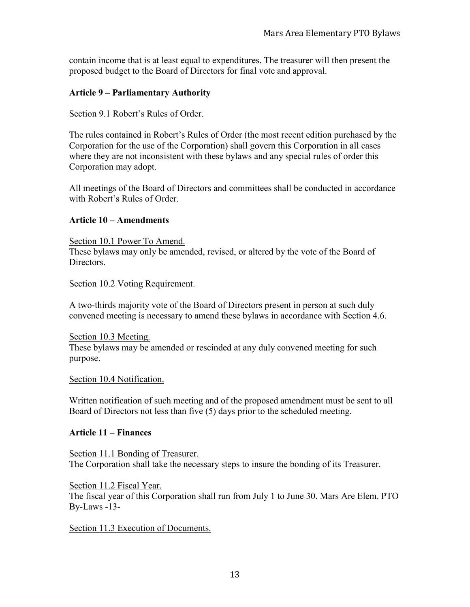contain income that is at least equal to expenditures. The treasurer will then present the proposed budget to the Board of Directors for final vote and approval.

#### **Article 9 – Parliamentary Authority**

#### Section 9.1 Robert's Rules of Order.

The rules contained in Robert's Rules of Order (the most recent edition purchased by the Corporation for the use of the Corporation) shall govern this Corporation in all cases where they are not inconsistent with these bylaws and any special rules of order this Corporation may adopt.

All meetings of the Board of Directors and committees shall be conducted in accordance with Robert's Rules of Order.

#### **Article 10 – Amendments**

Section 10.1 Power To Amend. These bylaws may only be amended, revised, or altered by the vote of the Board of Directors.

Section 10.2 Voting Requirement.

A two-thirds majority vote of the Board of Directors present in person at such duly convened meeting is necessary to amend these bylaws in accordance with Section 4.6.

Section 10.3 Meeting. These bylaws may be amended or rescinded at any duly convened meeting for such purpose.

#### Section 10.4 Notification.

Written notification of such meeting and of the proposed amendment must be sent to all Board of Directors not less than five (5) days prior to the scheduled meeting.

#### **Article 11 – Finances**

Section 11.1 Bonding of Treasurer. The Corporation shall take the necessary steps to insure the bonding of its Treasurer.

Section 11.2 Fiscal Year. The fiscal year of this Corporation shall run from July 1 to June 30. Mars Are Elem. PTO By-Laws -13-

Section 11.3 Execution of Documents.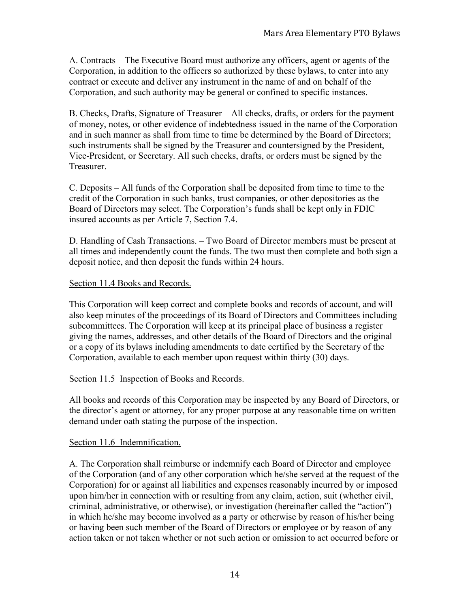A. Contracts – The Executive Board must authorize any officers, agent or agents of the Corporation, in addition to the officers so authorized by these bylaws, to enter into any contract or execute and deliver any instrument in the name of and on behalf of the Corporation, and such authority may be general or confined to specific instances.

B. Checks, Drafts, Signature of Treasurer – All checks, drafts, or orders for the payment of money, notes, or other evidence of indebtedness issued in the name of the Corporation and in such manner as shall from time to time be determined by the Board of Directors; such instruments shall be signed by the Treasurer and countersigned by the President, Vice-President, or Secretary. All such checks, drafts, or orders must be signed by the Treasurer.

C. Deposits – All funds of the Corporation shall be deposited from time to time to the credit of the Corporation in such banks, trust companies, or other depositories as the Board of Directors may select. The Corporation's funds shall be kept only in FDIC insured accounts as per Article 7, Section 7.4.

D. Handling of Cash Transactions. – Two Board of Director members must be present at all times and independently count the funds. The two must then complete and both sign a deposit notice, and then deposit the funds within 24 hours.

#### Section 11.4 Books and Records.

This Corporation will keep correct and complete books and records of account, and will also keep minutes of the proceedings of its Board of Directors and Committees including subcommittees. The Corporation will keep at its principal place of business a register giving the names, addresses, and other details of the Board of Directors and the original or a copy of its bylaws including amendments to date certified by the Secretary of the Corporation, available to each member upon request within thirty (30) days.

#### Section 11.5 Inspection of Books and Records.

All books and records of this Corporation may be inspected by any Board of Directors, or the director's agent or attorney, for any proper purpose at any reasonable time on written demand under oath stating the purpose of the inspection.

#### Section 11.6 Indemnification.

A. The Corporation shall reimburse or indemnify each Board of Director and employee of the Corporation (and of any other corporation which he/she served at the request of the Corporation) for or against all liabilities and expenses reasonably incurred by or imposed upon him/her in connection with or resulting from any claim, action, suit (whether civil, criminal, administrative, or otherwise), or investigation (hereinafter called the "action") in which he/she may become involved as a party or otherwise by reason of his/her being or having been such member of the Board of Directors or employee or by reason of any action taken or not taken whether or not such action or omission to act occurred before or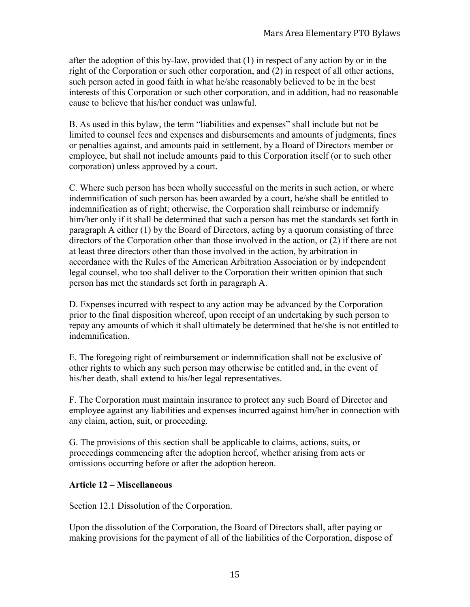after the adoption of this by-law, provided that (1) in respect of any action by or in the right of the Corporation or such other corporation, and (2) in respect of all other actions, such person acted in good faith in what he/she reasonably believed to be in the best interests of this Corporation or such other corporation, and in addition, had no reasonable cause to believe that his/her conduct was unlawful.

B. As used in this bylaw, the term "liabilities and expenses" shall include but not be limited to counsel fees and expenses and disbursements and amounts of judgments, fines or penalties against, and amounts paid in settlement, by a Board of Directors member or employee, but shall not include amounts paid to this Corporation itself (or to such other corporation) unless approved by a court.

C. Where such person has been wholly successful on the merits in such action, or where indemnification of such person has been awarded by a court, he/she shall be entitled to indemnification as of right; otherwise, the Corporation shall reimburse or indemnify him/her only if it shall be determined that such a person has met the standards set forth in paragraph A either (1) by the Board of Directors, acting by a quorum consisting of three directors of the Corporation other than those involved in the action, or (2) if there are not at least three directors other than those involved in the action, by arbitration in accordance with the Rules of the American Arbitration Association or by independent legal counsel, who too shall deliver to the Corporation their written opinion that such person has met the standards set forth in paragraph A.

D. Expenses incurred with respect to any action may be advanced by the Corporation prior to the final disposition whereof, upon receipt of an undertaking by such person to repay any amounts of which it shall ultimately be determined that he/she is not entitled to indemnification.

E. The foregoing right of reimbursement or indemnification shall not be exclusive of other rights to which any such person may otherwise be entitled and, in the event of his/her death, shall extend to his/her legal representatives.

F. The Corporation must maintain insurance to protect any such Board of Director and employee against any liabilities and expenses incurred against him/her in connection with any claim, action, suit, or proceeding.

G. The provisions of this section shall be applicable to claims, actions, suits, or proceedings commencing after the adoption hereof, whether arising from acts or omissions occurring before or after the adoption hereon.

#### **Article 12 – Miscellaneous**

#### Section 12.1 Dissolution of the Corporation.

Upon the dissolution of the Corporation, the Board of Directors shall, after paying or making provisions for the payment of all of the liabilities of the Corporation, dispose of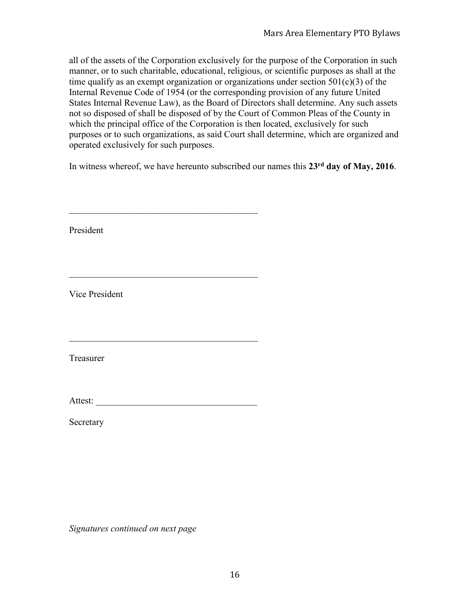all of the assets of the Corporation exclusively for the purpose of the Corporation in such manner, or to such charitable, educational, religious, or scientific purposes as shall at the time qualify as an exempt organization or organizations under section  $501(c)(3)$  of the Internal Revenue Code of 1954 (or the corresponding provision of any future United States Internal Revenue Law), as the Board of Directors shall determine. Any such assets not so disposed of shall be disposed of by the Court of Common Pleas of the County in which the principal office of the Corporation is then located, exclusively for such purposes or to such organizations, as said Court shall determine, which are organized and operated exclusively for such purposes.

In witness whereof, we have hereunto subscribed our names this **23rd day of May, 2016**.

| President      |  |
|----------------|--|
|                |  |
| Vice President |  |
|                |  |
| Treasurer      |  |
| Attest:        |  |
| Secretary      |  |
|                |  |
|                |  |

*Signatures continued on next page*